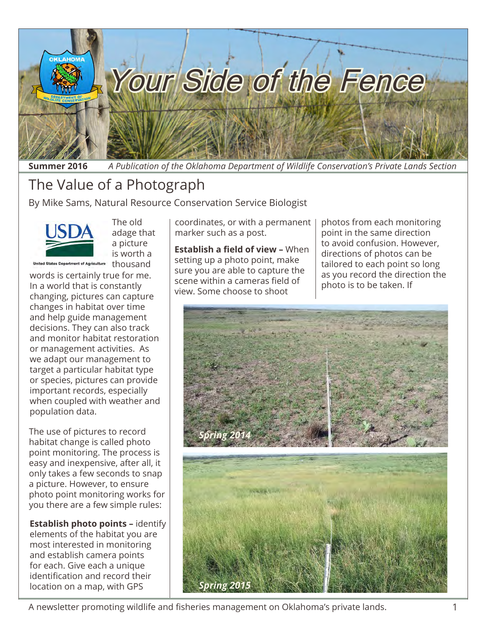

**Summer 2016** *A Publication of the Oklahoma Department of Wildlife Conservation's Private Lands Section*

### The Value of a Photograph

By Mike Sams, Natural Resource Conservation Service Biologist



The old adage that a picture is worth a United States Department of Agriculture thousand

words is certainly true for me. In a world that is constantly changing, pictures can capture changes in habitat over time and help guide management decisions. They can also track and monitor habitat restoration or management activities. As we adapt our management to target a particular habitat type or species, pictures can provide important records, especially when coupled with weather and population data.

The use of pictures to record habitat change is called photo point monitoring. The process is easy and inexpensive, after all, it only takes a few seconds to snap a picture. However, to ensure photo point monitoring works for you there are a few simple rules:

**Establish photo points –** identify elements of the habitat you are most interested in monitoring and establish camera points for each. Give each a unique identification and record their location on a map, with GPS

coordinates, or with a permanent marker such as a post.

**Establish a field of view –** When setting up a photo point, make sure you are able to capture the scene within a cameras field of view. Some choose to shoot

photos from each monitoring point in the same direction to avoid confusion. However, directions of photos can be tailored to each point so long as you record the direction the photo is to be taken. If

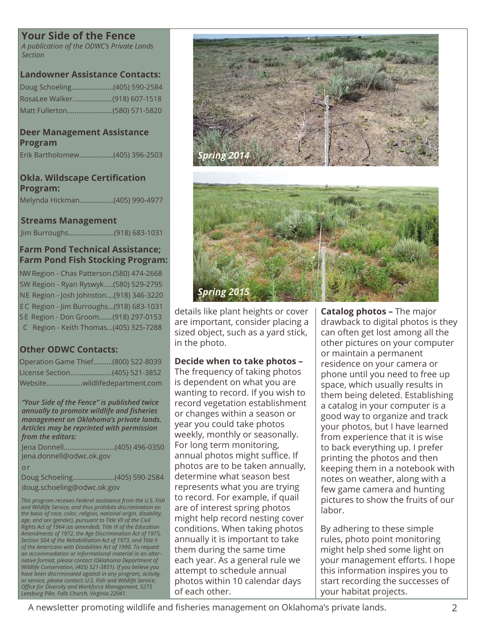### **Your Side of the Fence**

*A publication of the ODWC's Private Lands Section*

### **Landowner Assistance Contacts:**

| Doug Schoeling(405) 590-2584 |  |
|------------------------------|--|
|                              |  |
| Matt Fullerton(580) 571-5820 |  |

#### **Deer Management Assistance Program**

Erik Bartholomew..................(405) 396-2503

### **Okla. Wildscape Certification Program:**

Melynda Hickman..................(405) 990-4977

#### **Streams Management**

Jim Burroughs........................(918) 683-1031

### **Farm Pond Technical Assistance; Farm Pond Fish Stocking Program:**

NW Region - Chas Patterson.(580) 474-2668 SW Region - Ryan Ryswyk.....(580) 529-2795 NE Region - Josh Johnston....(918) 346-3220 EC Region - Jim Burroughs...(918) 683-1031 S E Region - Don Groom.......(918) 297-0153 C Region - Keith Thomas...(405) 325-7288

### **Other ODWC Contacts:**

| Operation Game Thief(800) 522-8039 |
|------------------------------------|
| License Section(405) 521-3852      |
| Websitewildlifedepartment.com      |

*"Your Side of the Fence" is published twice annually to promote wildlife and fisheries management on Oklahoma's private lands. Articles may be reprinted with permission from the editors:*

Jena Donnell...........................(405) 496-0350 jena.donnell@odwc.ok.gov

o r

Doug Schoeling......................(405) 590-2584 doug.schoeling@odwc.ok.gov

*This program receives Federal assistance from the U.S. Fish and Wildlife Service, and thus prohibits discrimination on the basis of race, color, religion, national origin, disability, age, and sex (gender), pursuant to Title VII of the Civil Rights Act of 1964 (as amended), Title IX of the Education Amendments of 1972, the Age Discrimination Act of 1975, Section 504 of the Rehabilitation Act of 1973, and Title II of the Americans with Disabilities Act of 1990. To request an accommodation or informational material in an alternative format, please contact (Oklahoma Department of Wildlife Conservation, (405) 521-3851). If you believe you have been discriminated against in any program, activity, or service, please contact: U.S. Fish and Wildlife Service, Office for Diversity and Workforce Management, 5275 Leesburg Pike, Falls Church, Virginia 22041.*



*Spring 201* 

details like plant heights or cover are important, consider placing a sized object, such as a yard stick, in the photo.

### **Decide when to take photos –**

The frequency of taking photos is dependent on what you are wanting to record. If you wish to record vegetation establishment or changes within a season or year you could take photos weekly, monthly or seasonally. For long term monitoring, annual photos might suffice. If photos are to be taken annually, determine what season best represents what you are trying to record. For example, if quail are of interest spring photos might help record nesting cover conditions. When taking photos annually it is important to take them during the same time each year. As a general rule we attempt to schedule annual photos within 10 calendar days of each other.

**Catalog photos –** The major drawback to digital photos is they can often get lost among all the other pictures on your computer or maintain a permanent residence on your camera or phone until you need to free up space, which usually results in them being deleted. Establishing a catalog in your computer is a good way to organize and track your photos, but I have learned from experience that it is wise to back everything up. I prefer printing the photos and then keeping them in a notebook with notes on weather, along with a few game camera and hunting pictures to show the fruits of our labor.

By adhering to these simple rules, photo point monitoring might help shed some light on your management efforts. I hope this information inspires you to start recording the successes of your habitat projects.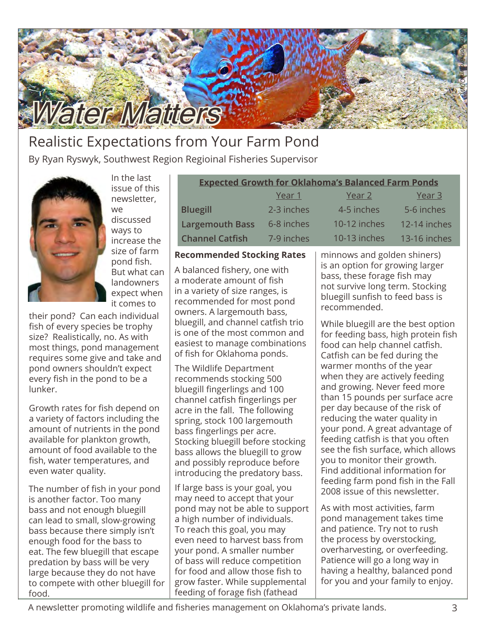

### Realistic Expectations from Your Farm Pond

By Ryan Ryswyk, Southwest Region Regioinal Fisheries Supervisor



In the last issue of this newsletter, we discussed ways to increase the size of farm pond fish. But what can landowners expect when it comes to

their pond? Can each individual fish of every species be trophy size? Realistically, no. As with most things, pond management requires some give and take and pond owners shouldn't expect every fish in the pond to be a lunker.

Growth rates for fish depend on a variety of factors including the amount of nutrients in the pond available for plankton growth, amount of food available to the fish, water temperatures, and even water quality.

The number of fish in your pond is another factor. Too many bass and not enough bluegill can lead to small, slow-growing bass because there simply isn't enough food for the bass to eat. The few bluegill that escape predation by bass will be very large because they do not have to compete with other bluegill for food.

| <b>Expected Growth for Oklahoma's Balanced Farm Ponds</b> |            |              |              |  |  |  |
|-----------------------------------------------------------|------------|--------------|--------------|--|--|--|
|                                                           | Year 1     | Year 2       | Year 3       |  |  |  |
| <b>Bluegill</b>                                           | 2-3 inches | 4-5 inches   | 5-6 inches   |  |  |  |
| <b>Largemouth Bass</b>                                    | 6-8 inches | 10-12 inches | 12-14 inches |  |  |  |
| <b>Channel Catfish</b>                                    | 7-9 inches | 10-13 inches | 13-16 inches |  |  |  |

#### **Recommended Stocking Rates**

A balanced fishery, one with a moderate amount of fish in a variety of size ranges, is recommended for most pond owners. A largemouth bass, bluegill, and channel catfish trio is one of the most common and easiest to manage combinations of fish for Oklahoma ponds.

The Wildlife Department recommends stocking 500 bluegill fingerlings and 100 channel catfish fingerlings per acre in the fall. The following spring, stock 100 largemouth bass fingerlings per acre. Stocking bluegill before stocking bass allows the bluegill to grow and possibly reproduce before introducing the predatory bass.

If large bass is your goal, you may need to accept that your pond may not be able to support a high number of individuals. To reach this goal, you may even need to harvest bass from your pond. A smaller number of bass will reduce competition for food and allow those fish to grow faster. While supplemental feeding of forage fish (fathead

minnows and golden shiners) is an option for growing larger bass, these forage fish may not survive long term. Stocking bluegill sunfish to feed bass is recommended.

While bluegill are the best option for feeding bass, high protein fish food can help channel catfish. Catfish can be fed during the warmer months of the year when they are actively feeding and growing. Never feed more than 15 pounds per surface acre per day because of the risk of reducing the water quality in your pond. A great advantage of feeding catfish is that you often see the fish surface, which allows you to monitor their growth. Find additional information for feeding farm pond fish in the Fall 2008 issue of this newsletter.

As with most activities, farm pond management takes time and patience. Try not to rush the process by overstocking, overharvesting, or overfeeding. Patience will go a long way in having a healthy, balanced pond for you and your family to enjoy.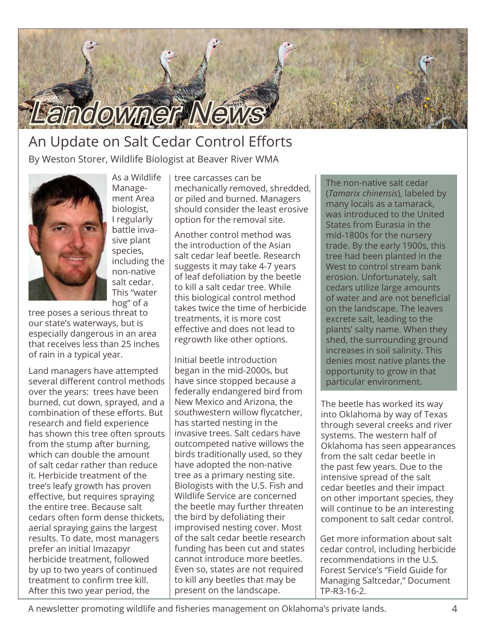

### An Update on Salt Cedar Control Efforts By Weston Storer, Wildlife Biologist at Beaver River WMA

As a Wildlife Management Area biologist, I regularly battle invasive plant species, including the non-native salt cedar. This "water hog" of a



tree poses a serious threat to our state's waterways, but is especially dangerous in an area that receives less than 25 inches of rain in a typical year.

Land managers have attempted several different control methods over the years: trees have been burned, cut down, sprayed, and a combination of these efforts. But research and field experience has shown this tree often sprouts from the stump after burning, which can double the amount of salt cedar rather than reduce it. Herbicide treatment of the tree's leafy growth has proven effective, but requires spraying the entire tree. Because salt cedars often form dense thickets, aerial spraying gains the largest results. To date, most managers prefer an initial Imazapyr herbicide treatment, followed by up to two years of continued treatment to confirm tree kill. After this two year period, the

tree carcasses can be mechanically removed, shredded, or piled and burned. Managers should consider the least erosive option for the removal site.

Another control method was the introduction of the Asian salt cedar leaf beetle. Research suggests it may take 4-7 years of leaf defoliation by the beetle to kill a salt cedar tree. While this biological control method takes twice the time of herbicide treatments, it is more cost effective and does not lead to regrowth like other options.

Initial beetle introduction began in the mid-2000s, but have since stopped because a federally endangered bird from New Mexico and Arizona, the southwestern willow flycatcher, has started nesting in the invasive trees. Salt cedars have outcompeted native willows the birds traditionally used, so they have adopted the non-native tree as a primary nesting site. Biologists with the U.S. Fish and Wildlife Service are concerned the beetle may further threaten the bird by defoliating their improvised nesting cover. Most of the salt cedar beetle research funding has been cut and states cannot introduce more beetles. Even so, states are not required to kill any beetles that may be present on the landscape.

The non-native salt cedar (*Tamarix chinensis*), labeled by many locals as a tamarack, was introduced to the United States from Eurasia in the mid-1800s for the nursery trade. By the early 1900s, this tree had been planted in the West to control stream bank erosion. Unfortunately, salt cedars utilize large amounts of water and are not beneficial on the landscape. The leaves excrete salt, leading to the plants' salty name. When they shed, the surrounding ground increases in soil salinity. This denies most native plants the opportunity to grow in that particular environment.

The beetle has worked its way into Oklahoma by way of Texas through several creeks and river systems. The western half of Oklahoma has seen appearances from the salt cedar beetle in the past few years. Due to the intensive spread of the salt cedar beetles and their impact on other important species, they will continue to be an interesting component to salt cedar control.

Get more information about salt cedar control, including herbicide recommendations in the U.S. Forest Service's "[Field Guide for](http://www.fs.usda.gov/Internet/FSE_DOCUMENTS/stelprdb5180537.pdf)  [Managing Saltcedar," Document](http://www.fs.usda.gov/Internet/FSE_DOCUMENTS/stelprdb5180537.pdf)  [TP-R3-16-2.](http://www.fs.usda.gov/Internet/FSE_DOCUMENTS/stelprdb5180537.pdf)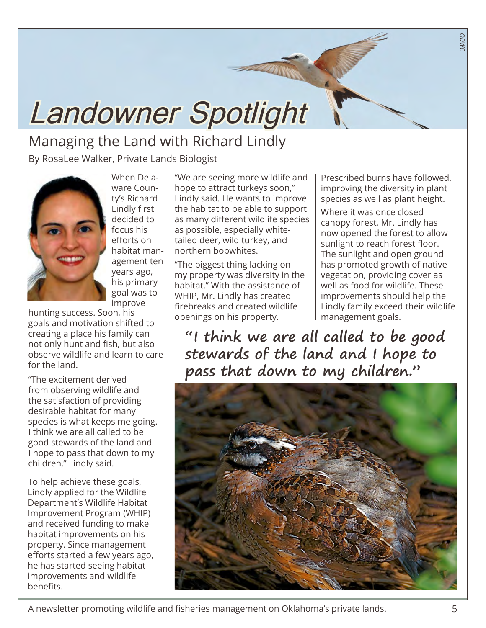# Landowner Spotlight

## Managing the Land with Richard Lindly

By RosaLee Walker, Private Lands Biologist



When Delaware County's Richard Lindly first decided to focus his efforts on habitat management ten years ago, his primary goal was to improve

hunting success. Soon, his goals and motivation shifted to creating a place his family can not only hunt and fish, but also observe wildlife and learn to care for the land.

"The excitement derived from observing wildlife and the satisfaction of providing desirable habitat for many species is what keeps me going. I think we are all called to be good stewards of the land and I hope to pass that down to my children," Lindly said.

To help achieve these goals, Lindly applied for the Wildlife Department's Wildlife Habitat Improvement Program (WHIP) and received funding to make habitat improvements on his property. Since management efforts started a few years ago, he has started seeing habitat improvements and wildlife benefits.

"We are seeing more wildlife and hope to attract turkeys soon," Lindly said. He wants to improve the habitat to be able to support as many different wildlife species as possible, especially whitetailed deer, wild turkey, and northern bobwhites.

"The biggest thing lacking on my property was diversity in the habitat." With the assistance of WHIP, Mr. Lindly has created firebreaks and created wildlife openings on his property.

Prescribed burns have followed, improving the diversity in plant species as well as plant height.

*ODWC*

Where it was once closed canopy forest, Mr. Lindly has now opened the forest to allow sunlight to reach forest floor. The sunlight and open ground has promoted growth of native vegetation, providing cover as well as food for wildlife. These improvements should help the Lindly family exceed their wildlife management goals.

**"I think we are all called to be good stewards of the land and I hope to pass that down to my children."** 

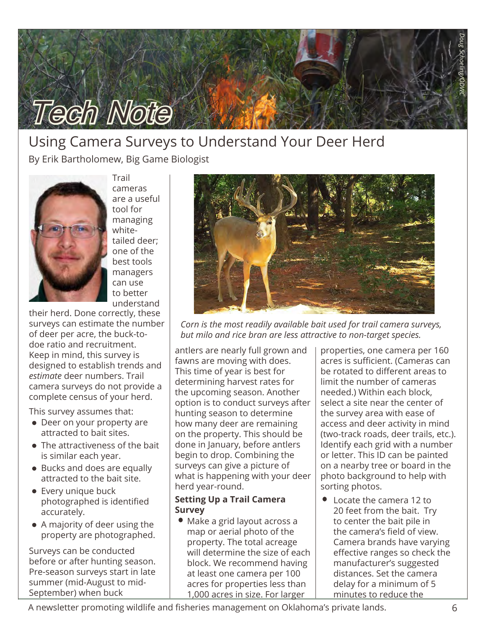

### Using Camera Surveys to Understand Your Deer Herd

By Erik Bartholomew, Big Game Biologist



Trail cameras are a useful tool for managing whitetailed deer; one of the best tools managers can use to better understand

their herd. Done correctly, these surveys can estimate the number of deer per acre, the buck-todoe ratio and recruitment. Keep in mind, this survey is designed to establish trends and *estimate* deer numbers. Trail camera surveys do not provide a complete census of your herd.

This survey assumes that:

- Deer on your property are attracted to bait sites.
- The attractiveness of the bait is similar each year.
- Bucks and does are equally attracted to the bait site.
- Every unique buck photographed is identified accurately.
- A majority of deer using the property are photographed.

Surveys can be conducted before or after hunting season. Pre-season surveys start in late summer (mid-August to mid-September) when buck



*Corn is the most readily available bait used for trail camera surveys, but milo and rice bran are less attractive to non-target species.* 

antlers are nearly full grown and fawns are moving with does. This time of year is best for determining harvest rates for the upcoming season. Another option is to conduct surveys after hunting season to determine how many deer are remaining on the property. This should be done in January, before antlers begin to drop. Combining the surveys can give a picture of what is happening with your deer herd year-round.

### **Setting Up a Trail Camera Survey**

Make a grid layout across a map or aerial photo of the property. The total acreage will determine the size of each block. We recommend having at least one camera per 100 acres for properties less than 1,000 acres in size. For larger

properties, one camera per 160 acres is sufficient. (Cameras can be rotated to different areas to limit the number of cameras needed.) Within each block, select a site near the center of the survey area with ease of access and deer activity in mind (two-track roads, deer trails, etc.). Identify each grid with a number or letter. This ID can be painted on a nearby tree or board in the photo background to help with sorting photos.

Locate the camera 12 to 20 feet from the bait. Try to center the bait pile in the camera's field of view. Camera brands have varying effective ranges so check the manufacturer's suggested distances. Set the camera delay for a minimum of 5 minutes to reduce the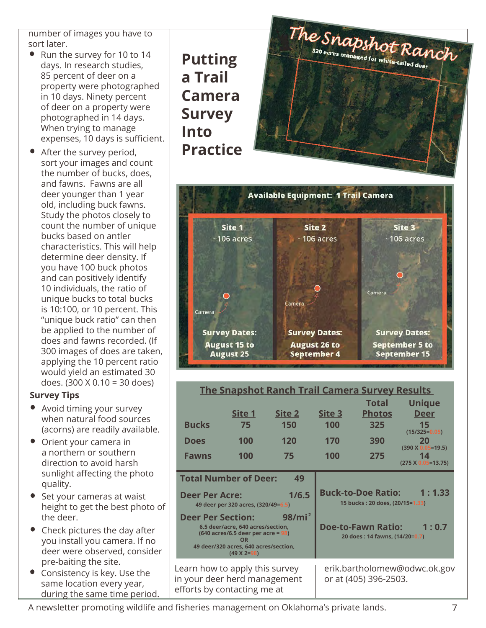number of images you have to sort later.

- Run the survey for 10 to 14 days. In research studies, 85 percent of deer on a property were photographed in 10 days. Ninety percent of deer on a property were photographed in 14 days. When trying to manage expenses, 10 days is sufficient.
- After the survey period, sort your images and count the number of bucks, does, and fawns. Fawns are all deer younger than 1 year old, including buck fawns. Study the photos closely to count the number of unique bucks based on antler characteristics. This will help determine deer density. If you have 100 buck photos and can positively identify 10 individuals, the ratio of unique bucks to total bucks is 10:100, or 10 percent. This "unique buck ratio" can then be applied to the number of does and fawns recorded. (If 300 images of does are taken, applying the 10 percent ratio would yield an estimated 30 does. (300 X 0.10 = 30 does)

### **Survey Tips**

- Avoid timing your survey when natural food sources (acorns) are readily available.
- Orient your camera in a northern or southern direction to avoid harsh sunlight affecting the photo quality.
- Set your cameras at waist height to get the best photo of the deer.
- Check pictures the day after you install you camera. If no deer were observed, consider pre-baiting the site.
- Consistency is key. Use the same location every year, during the same time period.





| <b>The Snapshot Ranch Trail Camera Survey Results</b>                                                                                                                                                              |        |                                                                        |                       |                              |                                   |
|--------------------------------------------------------------------------------------------------------------------------------------------------------------------------------------------------------------------|--------|------------------------------------------------------------------------|-----------------------|------------------------------|-----------------------------------|
|                                                                                                                                                                                                                    |        |                                                                        |                       | <b>Total</b>                 | <b>Unique</b>                     |
|                                                                                                                                                                                                                    | Site 1 | Site 2                                                                 | Site 3                | <b>Photos</b>                | <b>Deer</b>                       |
| <b>Bucks</b>                                                                                                                                                                                                       | 75     | 150                                                                    | 100                   | 325                          | 15<br>$(15/325=0.05)$             |
| <b>Does</b>                                                                                                                                                                                                        | 100    | 120                                                                    | 170                   | 390                          | 20<br>$(390 \times 0.05 = 19.5)$  |
| <b>Fawns</b>                                                                                                                                                                                                       | 100    | 75                                                                     | 100                   | 275                          | 14<br>$(275 \times 0.05 = 13.75)$ |
| <b>Total Number of Deer:</b><br>49                                                                                                                                                                                 |        |                                                                        |                       |                              |                                   |
| 1/6.5<br><b>Deer Per Acre:</b><br>49 deer per 320 acres, (320/49=6.5)                                                                                                                                              |        | <b>Buck-to-Doe Ratio:</b><br>1:1.33<br>15 bucks: 20 does, (20/15=1.33) |                       |                              |                                   |
| 98/mi <sup>2</sup><br><b>Deer Per Section:</b><br>6.5 deer/acre, 640 acres/section,<br>$(640 \text{ acres}/6.5 \text{ deer per acre} = 98)$<br>OR<br>49 deer/320 acres, 640 acres/section,<br>$(49 \times 2 = 98)$ |        | <b>Doe-to-Fawn Ratio:</b><br>1:0.7<br>20 does: 14 fawns, (14/20=0.7)   |                       |                              |                                   |
| Learn how to apply this survey<br>in your deer herd management<br>efforts by contacting me at                                                                                                                      |        |                                                                        | or at (405) 396-2503. | erik.bartholomew@odwc.ok.gov |                                   |